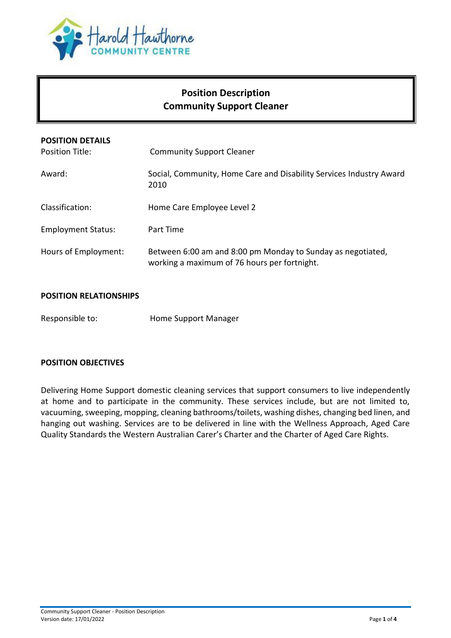

# **Position Description Community Support Cleaner**

| <b>POSITION DETAILS</b><br>Position Title: | <b>Community Support Cleaner</b>                                                                            |
|--------------------------------------------|-------------------------------------------------------------------------------------------------------------|
| Award:                                     | Social, Community, Home Care and Disability Services Industry Award<br>2010                                 |
| Classification:                            | Home Care Employee Level 2                                                                                  |
| <b>Employment Status:</b>                  | Part Time                                                                                                   |
| Hours of Employment:                       | Between 6:00 am and 8:00 pm Monday to Sunday as negotiated,<br>working a maximum of 76 hours per fortnight. |

### **POSITION RELATIONSHIPS**

Responsible to: Home Support Manager

#### **POSITION OBJECTIVES**

Delivering Home Support domestic cleaning services that support consumers to live independently at home and to participate in the community. These services include, but are not limited to, vacuuming, sweeping, mopping, cleaning bathrooms/toilets, washing dishes, changing bed linen, and hanging out washing. Services are to be delivered in line with the Wellness Approach, Aged Care Quality Standards the Western Australian Carer's Charter and the Charter of Aged Care Rights.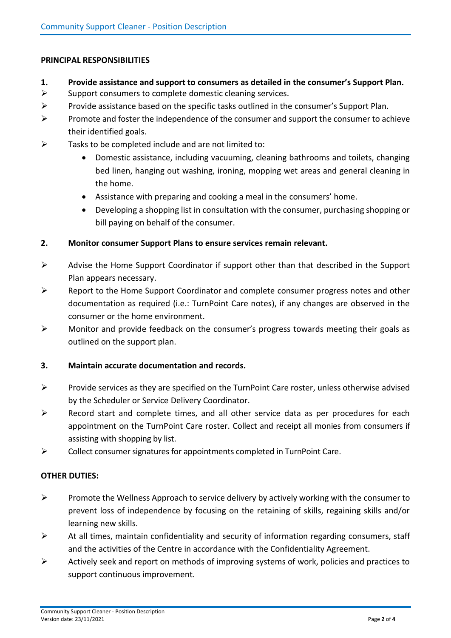#### **PRINCIPAL RESPONSIBILITIES**

- **1. Provide assistance and support to consumers as detailed in the consumer's Support Plan.**
- $\triangleright$  Support consumers to complete domestic cleaning services.
- $\triangleright$  Provide assistance based on the specific tasks outlined in the consumer's Support Plan.
- $\triangleright$  Promote and foster the independence of the consumer and support the consumer to achieve their identified goals.
- $\triangleright$  Tasks to be completed include and are not limited to:
	- Domestic assistance, including vacuuming, cleaning bathrooms and toilets, changing bed linen, hanging out washing, ironing, mopping wet areas and general cleaning in the home.
	- Assistance with preparing and cooking a meal in the consumers' home.
	- Developing a shopping list in consultation with the consumer, purchasing shopping or bill paying on behalf of the consumer.

#### **2. Monitor consumer Support Plans to ensure services remain relevant.**

- $\triangleright$  Advise the Home Support Coordinator if support other than that described in the Support Plan appears necessary.
- $\triangleright$  Report to the Home Support Coordinator and complete consumer progress notes and other documentation as required (i.e.: TurnPoint Care notes), if any changes are observed in the consumer or the home environment.
- $\triangleright$  Monitor and provide feedback on the consumer's progress towards meeting their goals as outlined on the support plan.

## **3. Maintain accurate documentation and records.**

- **Provide services as they are specified on the TurnPoint Care roster, unless otherwise advised** by the Scheduler or Service Delivery Coordinator.
- $\triangleright$  Record start and complete times, and all other service data as per procedures for each appointment on the TurnPoint Care roster. Collect and receipt all monies from consumers if assisting with shopping by list.
- $\triangleright$  Collect consumer signatures for appointments completed in TurnPoint Care.

#### **OTHER DUTIES:**

- $\triangleright$  Promote the Wellness Approach to service delivery by actively working with the consumer to prevent loss of independence by focusing on the retaining of skills, regaining skills and/or learning new skills.
- $\triangleright$  At all times, maintain confidentiality and security of information regarding consumers, staff and the activities of the Centre in accordance with the Confidentiality Agreement.
- $\triangleright$  Actively seek and report on methods of improving systems of work, policies and practices to support continuous improvement.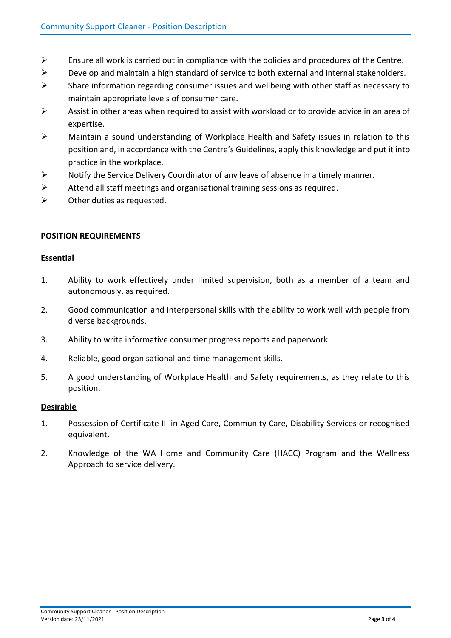- $\triangleright$  Ensure all work is carried out in compliance with the policies and procedures of the Centre.
- $\triangleright$  Develop and maintain a high standard of service to both external and internal stakeholders.
- $\triangleright$  Share information regarding consumer issues and wellbeing with other staff as necessary to maintain appropriate levels of consumer care.
- $\triangleright$  Assist in other areas when required to assist with workload or to provide advice in an area of expertise.
- $\triangleright$  Maintain a sound understanding of Workplace Health and Safety issues in relation to this position and, in accordance with the Centre's Guidelines, apply this knowledge and put it into practice in the workplace.
- $\triangleright$  Notify the Service Delivery Coordinator of any leave of absence in a timely manner.
- $\triangleright$  Attend all staff meetings and organisational training sessions as required.
- $\triangleright$  Other duties as requested.

#### **POSITION REQUIREMENTS**

#### **Essential**

- 1. Ability to work effectively under limited supervision, both as a member of a team and autonomously, as required.
- 2. Good communication and interpersonal skills with the ability to work well with people from diverse backgrounds.
- 3. Ability to write informative consumer progress reports and paperwork.
- 4. Reliable, good organisational and time management skills.
- 5. A good understanding of Workplace Health and Safety requirements, as they relate to this position.

#### **Desirable**

- 1. Possession of Certificate III in Aged Care, Community Care, Disability Services or recognised equivalent.
- 2. Knowledge of the WA Home and Community Care (HACC) Program and the Wellness Approach to service delivery.